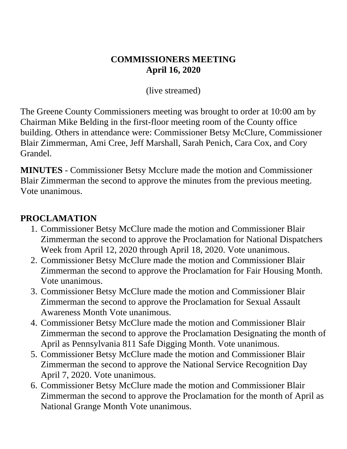#### **COMMISSIONERS MEETING April 16, 2020**

(live streamed)

The Greene County Commissioners meeting was brought to order at 10:00 am by Chairman Mike Belding in the first-floor meeting room of the County office building. Others in attendance were: Commissioner Betsy McClure, Commissioner Blair Zimmerman, Ami Cree, Jeff Marshall, Sarah Penich, Cara Cox, and Cory Grandel.

**MINUTES** - Commissioner Betsy Mcclure made the motion and Commissioner Blair Zimmerman the second to approve the minutes from the previous meeting. Vote unanimous.

#### **PROCLAMATION**

- 1. Commissioner Betsy McClure made the motion and Commissioner Blair Zimmerman the second to approve the Proclamation for National Dispatchers Week from April 12, 2020 through April 18, 2020. Vote unanimous.
- 2. Commissioner Betsy McClure made the motion and Commissioner Blair Zimmerman the second to approve the Proclamation for Fair Housing Month. Vote unanimous.
- 3. Commissioner Betsy McClure made the motion and Commissioner Blair Zimmerman the second to approve the Proclamation for Sexual Assault Awareness Month Vote unanimous.
- 4. Commissioner Betsy McClure made the motion and Commissioner Blair Zimmerman the second to approve the Proclamation Designating the month of April as Pennsylvania 811 Safe Digging Month. Vote unanimous.
- 5. Commissioner Betsy McClure made the motion and Commissioner Blair Zimmerman the second to approve the National Service Recognition Day April 7, 2020. Vote unanimous.
- 6. Commissioner Betsy McClure made the motion and Commissioner Blair Zimmerman the second to approve the Proclamation for the month of April as National Grange Month Vote unanimous.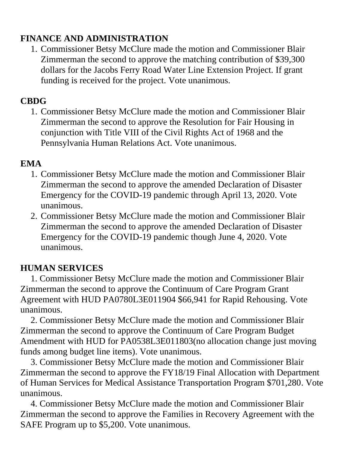#### **FINANCE AND ADMINISTRATION**

1. Commissioner Betsy McClure made the motion and Commissioner Blair Zimmerman the second to approve the matching contribution of \$39,300 dollars for the Jacobs Ferry Road Water Line Extension Project. If grant funding is received for the project. Vote unanimous.

### **CBDG**

1. Commissioner Betsy McClure made the motion and Commissioner Blair Zimmerman the second to approve the Resolution for Fair Housing in conjunction with Title VIII of the Civil Rights Act of 1968 and the Pennsylvania Human Relations Act. Vote unanimous.

#### **EMA**

- 1. Commissioner Betsy McClure made the motion and Commissioner Blair Zimmerman the second to approve the amended Declaration of Disaster Emergency for the COVID-19 pandemic through April 13, 2020. Vote unanimous.
- 2. Commissioner Betsy McClure made the motion and Commissioner Blair Zimmerman the second to approve the amended Declaration of Disaster Emergency for the COVID-19 pandemic though June 4, 2020. Vote unanimous.

## **HUMAN SERVICES**

1. Commissioner Betsy McClure made the motion and Commissioner Blair Zimmerman the second to approve the Continuum of Care Program Grant Agreement with HUD PA0780L3E011904 \$66,941 for Rapid Rehousing. Vote unanimous.

2. Commissioner Betsy McClure made the motion and Commissioner Blair Zimmerman the second to approve the Continuum of Care Program Budget Amendment with HUD for PA0538L3E011803(no allocation change just moving funds among budget line items). Vote unanimous.

3. Commissioner Betsy McClure made the motion and Commissioner Blair Zimmerman the second to approve the FY18/19 Final Allocation with Department of Human Services for Medical Assistance Transportation Program \$701,280. Vote unanimous.

4. Commissioner Betsy McClure made the motion and Commissioner Blair Zimmerman the second to approve the Families in Recovery Agreement with the SAFE Program up to \$5,200. Vote unanimous.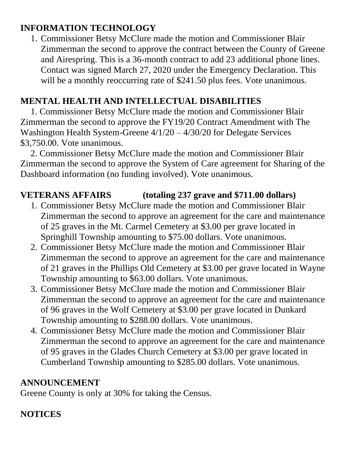### **INFORMATION TECHNOLOGY**

1. Commissioner Betsy McClure made the motion and Commissioner Blair Zimmerman the second to approve the contract between the County of Greene and Airespring. This is a 36-month contract to add 23 additional phone lines. Contact was signed March 27, 2020 under the Emergency Declaration. This will be a monthly reoccurring rate of \$241.50 plus fees. Vote unanimous.

### **MENTAL HEALTH AND INTELLECTUAL DISABILITIES**

1. Commissioner Betsy McClure made the motion and Commissioner Blair Zimmerman the second to approve the FY19/20 Contract Amendment with The Washington Health System-Greene 4/1/20 – 4/30/20 for Delegate Services \$3,750.00. Vote unanimous.

2. Commissioner Betsy McClure made the motion and Commissioner Blair Zimmerman the second to approve the System of Care agreement for Sharing of the Dashboard information (no funding involved). Vote unanimous.

## **VETERANS AFFAIRS (totaling 237 grave and \$711.00 dollars)**

- 1. Commissioner Betsy McClure made the motion and Commissioner Blair Zimmerman the second to approve an agreement for the care and maintenance of 25 graves in the Mt. Carmel Cemetery at \$3.00 per grave located in Springhill Township amounting to \$75.00 dollars. Vote unanimous.
- 2. Commissioner Betsy McClure made the motion and Commissioner Blair Zimmerman the second to approve an agreement for the care and maintenance of 21 graves in the Phillips Old Cemetery at \$3.00 per grave located in Wayne Township amounting to \$63.00 dollars. Vote unanimous.
- 3. Commissioner Betsy McClure made the motion and Commissioner Blair Zimmerman the second to approve an agreement for the care and maintenance of 96 graves in the Wolf Cemetery at \$3.00 per grave located in Dunkard Township amounting to \$288.00 dollars. Vote unanimous.
- 4. Commissioner Betsy McClure made the motion and Commissioner Blair Zimmerman the second to approve an agreement for the care and maintenance of 95 graves in the Glades Church Cemetery at \$3.00 per grave located in Cumberland Township amounting to \$285.00 dollars. Vote unanimous.

### **ANNOUNCEMENT**

Greene County is only at 30% for taking the Census.

# **NOTICES**